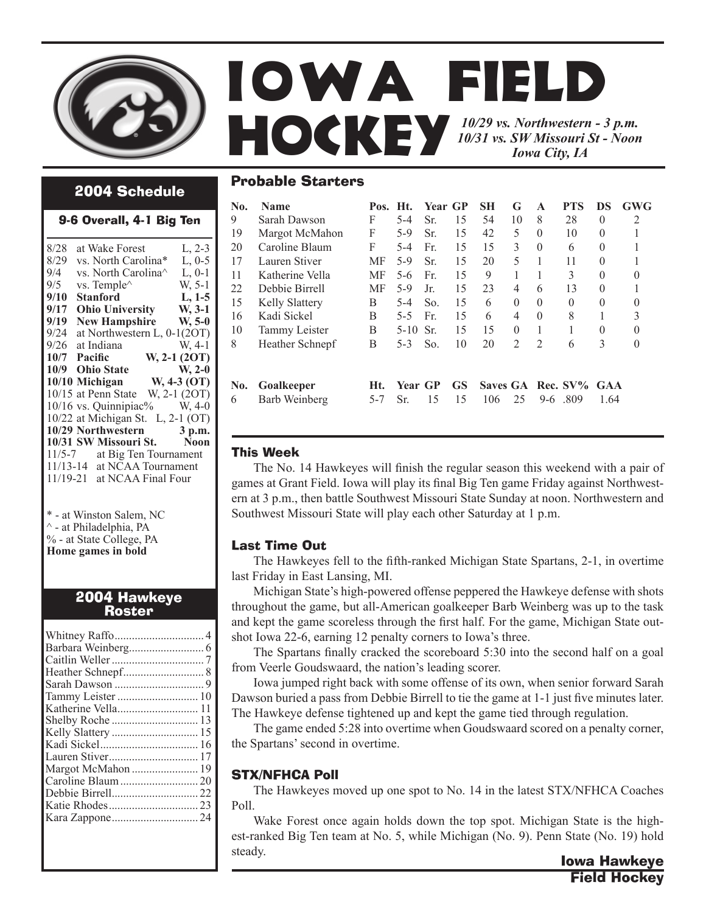

Probable Starters

## 2004 Schedule

#### 9-6 Overall, 4-1 Big Ten

| 8/28 | at Wake Forest                                    | L, 2-3       |
|------|---------------------------------------------------|--------------|
| 8/29 | vs. North Carolina*                               | $L, 0-5$     |
| 9/4  | vs. North Carolina <sup><math>\wedge</math></sup> | $L, 0-1$     |
| 9/5  | vs. Temple^                                       | W. 5-1       |
| 9/10 | <b>Stanford</b>                                   | $L, 1-5$     |
| 9/17 | Ohio University W, 3-1                            |              |
| 9/19 | <b>New Hampshire</b>                              | $W, 5-0$     |
| 9/24 | at Northwestern L, 0-1(2OT)                       |              |
| 9/26 | at Indiana                                        | $W, 4-1$     |
|      | 10/7 Pacific                                      | W, 2-1 (2OT) |
|      | 10/9 Ohio State W, 2-0                            |              |
|      | 10/10 Michigan W, 4-3 (OT)                        |              |
|      | 10/15 at Penn State W, 2-1 (2OT)                  |              |
|      | $10/16$ vs. Quinnipiac% W, 4-0                    |              |
|      | 10/22 at Michigan St. L, 2-1 (OT)                 |              |
|      | 10/29 Northwestern 3 p.m.                         |              |
|      | 10/31 SW Missouri St. Noon                        |              |
|      | 11/5-7 at Big Ten Tournament                      |              |
|      | 11/13-14 at NCAA Tournament                       |              |
|      | 11/19-21 at NCAA Final Four                       |              |
|      |                                                   |              |

\* - at Winston Salem, NC ^ - at Philadelphia, PA % - at State College, PA **Home games in bold**

# 2004 Hawkeye Roster

| Tammy Leister  10  |  |
|--------------------|--|
| Katherine Vella 11 |  |
|                    |  |
| Kelly Slattery  15 |  |
|                    |  |
|                    |  |
| Margot McMahon  19 |  |
|                    |  |
|                    |  |
|                    |  |
|                    |  |
|                    |  |
|                    |  |

| <b>Name</b>           | Pos.           | Ht.      |     |                 | SН      | G              | A              | <b>PTS</b> | DS                 | <b>GWG</b>        |
|-----------------------|----------------|----------|-----|-----------------|---------|----------------|----------------|------------|--------------------|-------------------|
| Sarah Dawson          | F              | $5 - 4$  | Sr. | 15              | 54      | 10             | 8              | 28         | $\Omega$           | $\overline{2}$    |
| Margot McMahon        | F              | $5-9$    | Sr. | 15              | 42      | 5              | $\theta$       | 10         | $\theta$           |                   |
| Caroline Blaum        | F              | $5-4$    | Fr. | 15              | 15      | 3              | $\Omega$       | 6          | $\Omega$           | 1                 |
| Lauren Stiver         | MF             | 5-9      | Sr. | 15              | 20      | 5              |                | 11         | $\Omega$           |                   |
| Katherine Vella       | МF             | 5-6      | Fr. | 15              | 9       | 1              |                | 3          | $\Omega$           | 0                 |
| Debbie Birrell        | MF             | 5-9      | Jr. | 15              | 23      | 4              | 6              | 13         | $\Omega$           |                   |
| <b>Kelly Slattery</b> | B              | $5 - 4$  | So. | 15              | 6       | $\Omega$       | $\Omega$       | $\Omega$   | $\Omega$           | 0                 |
| Kadi Sickel           | B              | $5 - 5$  | Fr. | 15              | 6       | $\overline{4}$ | $\Omega$       | 8          |                    | 3                 |
| Tammy Leister         | B              | $5 - 10$ | Sr. | 15              | 15      | $\theta$       | 1              |            | $\Omega$           | $\theta$          |
| Heather Schnepf       | B              | $5 - 3$  | So. | 10              | 20      | $\overline{2}$ | $\overline{2}$ | 6          | 3                  | $\Omega$          |
| Goalkeeper            | Ht.<br>$5 - 7$ | Sr.      | 15  | <b>GS</b><br>15 | 106     | 25             |                | -809       | <b>GAA</b><br>1.64 |                   |
|                       | Barb Weinberg  |          |     | Year GP         | Year GP |                |                |            | $9-6$              | Saves GA Rec. SV% |

## This Week

The No. 14 Hawkeyes will finish the regular season this weekend with a pair of games at Grant Field. Iowa will play its final Big Ten game Friday against Northwestern at 3 p.m., then battle Southwest Missouri State Sunday at noon. Northwestern and Southwest Missouri State will play each other Saturday at 1 p.m.

## Last Time Out

The Hawkeyes fell to the fifth-ranked Michigan State Spartans, 2-1, in overtime last Friday in East Lansing, MI.

 Michigan State's high-powered offense peppered the Hawkeye defense with shots throughout the game, but all-American goalkeeper Barb Weinberg was up to the task and kept the game scoreless through the first half. For the game, Michigan State outshot Iowa 22-6, earning 12 penalty corners to Iowa's three.

 The Spartans finally cracked the scoreboard 5:30 into the second half on a goal from Veerle Goudswaard, the nation's leading scorer.

 Iowa jumped right back with some offense of its own, when senior forward Sarah Dawson buried a pass from Debbie Birrell to tie the game at 1-1 just five minutes later. The Hawkeye defense tightened up and kept the game tied through regulation.

 The game ended 5:28 into overtime when Goudswaard scored on a penalty corner, the Spartans' second in overtime.

# STX/NFHCA Poll

 The Hawkeyes moved up one spot to No. 14 in the latest STX/NFHCA Coaches Poll.

 Wake Forest once again holds down the top spot. Michigan State is the highest-ranked Big Ten team at No. 5, while Michigan (No. 9). Penn State (No. 19) hold steady.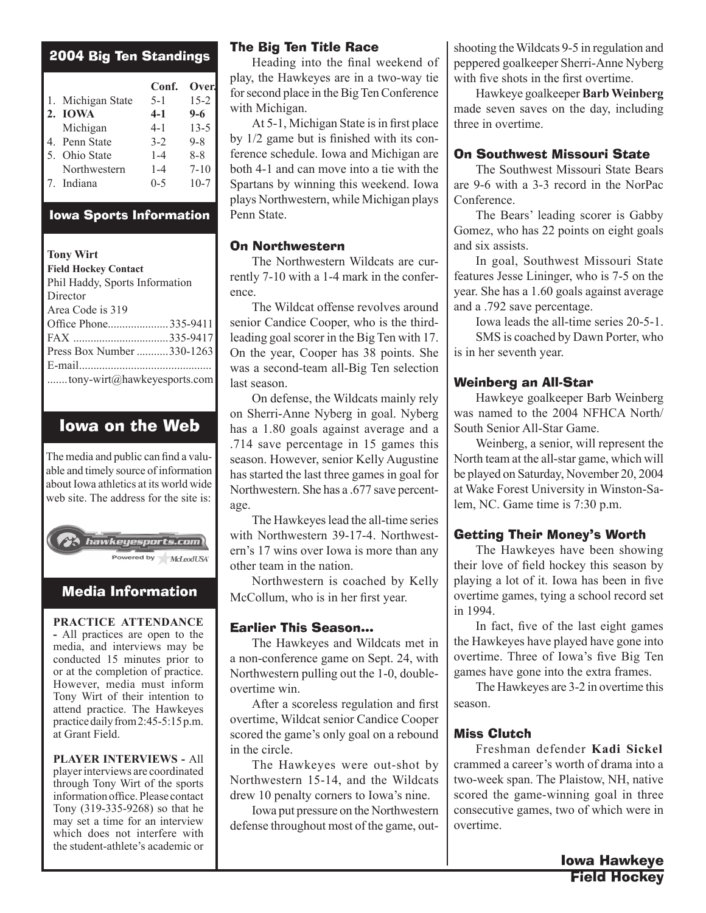| <b>2004 Big Ten Standings</b> |                   |         |          |  |  |
|-------------------------------|-------------------|---------|----------|--|--|
|                               |                   | Conf.   | Over.    |  |  |
|                               | 1. Michigan State | $5 - 1$ | $15 - 2$ |  |  |
|                               | 2. IOWA           | $4 - 1$ | $9-6$    |  |  |
|                               | Michigan          | $4 - 1$ | $13 - 5$ |  |  |
|                               | 4. Penn State     | $3 - 2$ | $9 - 8$  |  |  |
|                               | 5. Ohio State     | $1 - 4$ | $8 - 8$  |  |  |
|                               | Northwestern      | $1 - 4$ | $7 - 10$ |  |  |
|                               | 7. Indiana        | $0 - 5$ | $10-7$   |  |  |
|                               |                   |         |          |  |  |

## Iowa Sports Information

## **Tony Wirt**

| <b>Field Hockey Contact</b>    |  |  |
|--------------------------------|--|--|
| Phil Haddy, Sports Information |  |  |
| Director                       |  |  |
| Area Code is 319               |  |  |
| Office Phone335-9411           |  |  |
|                                |  |  |
| Press Box Number 330-1263      |  |  |
|                                |  |  |
| tony-wirt@hawkeyesports.com    |  |  |

# Iowa on the Web

The media and public can find a valuable and timely source of information about Iowa athletics at its world wide web site. The address for the site is:



# Media Information

**PRACTICE ATTENDANCE -** All practices are open to the media, and interviews may be conducted 15 minutes prior to or at the completion of practice. However, media must inform Tony Wirt of their intention to attend practice. The Hawkeyes practice daily from 2:45-5:15 p.m. at Grant Field.

**PLAYER INTERVIEWS -** All player interviews are coordinated through Tony Wirt of the sports information office. Please contact Tony (319-335-9268) so that he may set a time for an interview which does not interfere with the student-athlete's academic or

## The Big Ten Title Race

Heading into the final weekend of play, the Hawkeyes are in a two-way tie for second place in the Big Ten Conference with Michigan.

 At 5-1, Michigan State is in first place by 1/2 game but is finished with its conference schedule. Iowa and Michigan are both 4-1 and can move into a tie with the Spartans by winning this weekend. Iowa plays Northwestern, while Michigan plays Penn State.

## On Northwestern

The Northwestern Wildcats are currently 7-10 with a 1-4 mark in the conference.

 The Wildcat offense revolves around senior Candice Cooper, who is the thirdleading goal scorer in the Big Ten with 17. On the year, Cooper has 38 points. She was a second-team all-Big Ten selection last season.

 On defense, the Wildcats mainly rely on Sherri-Anne Nyberg in goal. Nyberg has a 1.80 goals against average and a .714 save percentage in 15 games this season. However, senior Kelly Augustine has started the last three games in goal for Northwestern. She has a .677 save percentage.

 The Hawkeyes lead the all-time series with Northwestern 39-17-4. Northwestern's 17 wins over Iowa is more than any other team in the nation.

 Northwestern is coached by Kelly McCollum, who is in her first year.

## Earlier This Season...

 The Hawkeyes and Wildcats met in a non-conference game on Sept. 24, with Northwestern pulling out the 1-0, doubleovertime win.

After a scoreless regulation and first overtime, Wildcat senior Candice Cooper scored the game's only goal on a rebound in the circle.

 The Hawkeyes were out-shot by Northwestern 15-14, and the Wildcats drew 10 penalty corners to Iowa's nine.

 Iowa put pressure on the Northwestern defense throughout most of the game, outshooting the Wildcats 9-5 in regulation and peppered goalkeeper Sherri-Anne Nyberg with five shots in the first overtime.

 Hawkeye goalkeeper **Barb Weinberg**  made seven saves on the day, including three in overtime.

## On Southwest Missouri State

The Southwest Missouri State Bears are 9-6 with a 3-3 record in the NorPac Conference.

 The Bears' leading scorer is Gabby Gomez, who has 22 points on eight goals and six assists.

 In goal, Southwest Missouri State features Jesse Lininger, who is 7-5 on the year. She has a 1.60 goals against average and a .792 save percentage.

Iowa leads the all-time series 20-5-1. SMS is coached by Dawn Porter, who is in her seventh year.

## Weinberg an All-Star

Hawkeye goalkeeper Barb Weinberg was named to the 2004 NFHCA North/ South Senior All-Star Game.

 Weinberg, a senior, will represent the North team at the all-star game, which will be played on Saturday, November 20, 2004 at Wake Forest University in Winston-Salem, NC. Game time is 7:30 p.m.

## Getting Their Money's Worth

The Hawkeyes have been showing their love of field hockey this season by playing a lot of it. Iowa has been in five overtime games, tying a school record set in 1994.

In fact, five of the last eight games the Hawkeyes have played have gone into overtime. Three of Iowa's five Big Ten games have gone into the extra frames.

 The Hawkeyes are 3-2 in overtime this season.

## Miss Clutch

Freshman defender **Kadi Sickel** crammed a career's worth of drama into a two-week span. The Plaistow, NH, native scored the game-winning goal in three consecutive games, two of which were in overtime.

> Iowa Hawkeye Field Hockey